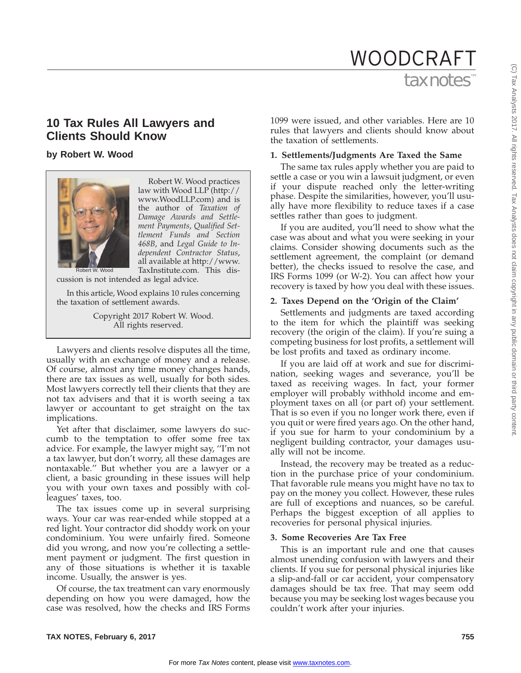# tax notes WOODCRAFT

# **10 Tax Rules All Lawyers and Clients Should Know**

**by Robert W. Wood**



Robert W. Wood practices law with Wood LLP (http:// www.WoodLLP.com) and is the author of *Taxation of Damage Awards and Settlement Payments*, *Qualified Settlement Funds and Section 468B*, and *Legal Guide to Independent Contractor Status*, all available at http://www. TaxInstitute.com. This dis-

cussion is not intended as legal advice.

In this article, Wood explains 10 rules concerning the taxation of settlement awards.

> Copyright 2017 Robert W. Wood. All rights reserved.

Lawyers and clients resolve disputes all the time, usually with an exchange of money and a release. Of course, almost any time money changes hands, there are tax issues as well, usually for both sides. Most lawyers correctly tell their clients that they are not tax advisers and that it is worth seeing a tax lawyer or accountant to get straight on the tax implications.

Yet after that disclaimer, some lawyers do succumb to the temptation to offer some free tax advice. For example, the lawyer might say, ''I'm not a tax lawyer, but don't worry, all these damages are nontaxable.'' But whether you are a lawyer or a client, a basic grounding in these issues will help you with your own taxes and possibly with colleagues' taxes, too.

The tax issues come up in several surprising ways. Your car was rear-ended while stopped at a red light. Your contractor did shoddy work on your condominium. You were unfairly fired. Someone did you wrong, and now you're collecting a settlement payment or judgment. The first question in any of those situations is whether it is taxable income. Usually, the answer is yes.

Of course, the tax treatment can vary enormously depending on how you were damaged, how the case was resolved, how the checks and IRS Forms

1099 were issued, and other variables. Here are 10 rules that lawyers and clients should know about the taxation of settlements.

#### **1. Settlements/Judgments Are Taxed the Same**

The same tax rules apply whether you are paid to settle a case or you win a lawsuit judgment, or even if your dispute reached only the letter-writing phase. Despite the similarities, however, you'll usually have more flexibility to reduce taxes if a case settles rather than goes to judgment.

If you are audited, you'll need to show what the case was about and what you were seeking in your claims. Consider showing documents such as the settlement agreement, the complaint (or demand better), the checks issued to resolve the case, and IRS Forms 1099 (or W-2). You can affect how your recovery is taxed by how you deal with these issues.

## **2. Taxes Depend on the 'Origin of the Claim'**

Settlements and judgments are taxed according to the item for which the plaintiff was seeking recovery (the origin of the claim). If you're suing a competing business for lost profits, a settlement will be lost profits and taxed as ordinary income.

If you are laid off at work and sue for discrimination, seeking wages and severance, you'll be taxed as receiving wages. In fact, your former employer will probably withhold income and employment taxes on all (or part of) your settlement. That is so even if you no longer work there, even if you quit or were fired years ago. On the other hand, if you sue for harm to your condominium by a negligent building contractor, your damages usually will not be income.

Instead, the recovery may be treated as a reduction in the purchase price of your condominium. That favorable rule means you might have no tax to pay on the money you collect. However, these rules are full of exceptions and nuances, so be careful. Perhaps the biggest exception of all applies to recoveries for personal physical injuries.

#### **3. Some Recoveries Are Tax Free**

This is an important rule and one that causes almost unending confusion with lawyers and their clients. If you sue for personal physical injuries like a slip-and-fall or car accident, your compensatory damages should be tax free. That may seem odd because you may be seeking lost wages because you couldn't work after your injuries.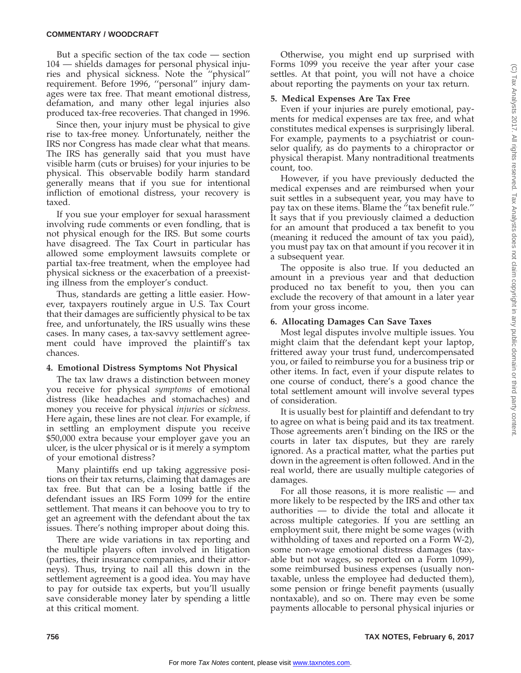#### **COMMENTARY / WOODCRAFT**

But a specific section of the tax code — section 104 — shields damages for personal physical injuries and physical sickness. Note the ''physical'' requirement. Before 1996, ''personal'' injury damages were tax free. That meant emotional distress, defamation, and many other legal injuries also produced tax-free recoveries. That changed in 1996.

Since then, your injury must be physical to give rise to tax-free money. Unfortunately, neither the IRS nor Congress has made clear what that means. The IRS has generally said that you must have visible harm (cuts or bruises) for your injuries to be physical. This observable bodily harm standard generally means that if you sue for intentional infliction of emotional distress, your recovery is taxed.

If you sue your employer for sexual harassment involving rude comments or even fondling, that is not physical enough for the IRS. But some courts have disagreed. The Tax Court in particular has allowed some employment lawsuits complete or partial tax-free treatment, when the employee had physical sickness or the exacerbation of a preexisting illness from the employer's conduct.

Thus, standards are getting a little easier. However, taxpayers routinely argue in U.S. Tax Court that their damages are sufficiently physical to be tax free, and unfortunately, the IRS usually wins these cases. In many cases, a tax-savvy settlement agreement could have improved the plaintiff's tax chances.

## **4. Emotional Distress Symptoms Not Physical**

The tax law draws a distinction between money you receive for physical *symptoms* of emotional distress (like headaches and stomachaches) and money you receive for physical *injuries* or *sickness*. Here again, these lines are not clear. For example, if in settling an employment dispute you receive \$50,000 extra because your employer gave you an ulcer, is the ulcer physical or is it merely a symptom of your emotional distress?

Many plaintiffs end up taking aggressive positions on their tax returns, claiming that damages are tax free. But that can be a losing battle if the defendant issues an IRS Form 1099 for the entire settlement. That means it can behoove you to try to get an agreement with the defendant about the tax issues. There's nothing improper about doing this.

There are wide variations in tax reporting and the multiple players often involved in litigation (parties, their insurance companies, and their attorneys). Thus, trying to nail all this down in the settlement agreement is a good idea. You may have to pay for outside tax experts, but you'll usually save considerable money later by spending a little at this critical moment.

Otherwise, you might end up surprised with Forms 1099 you receive the year after your case settles. At that point, you will not have a choice about reporting the payments on your tax return.

## **5. Medical Expenses Are Tax Free**

Even if your injuries are purely emotional, payments for medical expenses are tax free, and what constitutes medical expenses is surprisingly liberal. For example, payments to a psychiatrist or counselor qualify, as do payments to a chiropractor or physical therapist. Many nontraditional treatments count, too.

However, if you have previously deducted the medical expenses and are reimbursed when your suit settles in a subsequent year, you may have to pay tax on these items. Blame the ''tax benefit rule.'' It says that if you previously claimed a deduction for an amount that produced a tax benefit to you (meaning it reduced the amount of tax you paid), you must pay tax on that amount if you recover it in a subsequent year.

The opposite is also true. If you deducted an amount in a previous year and that deduction produced no tax benefit to you, then you can exclude the recovery of that amount in a later year from your gross income.

## **6. Allocating Damages Can Save Taxes**

Most legal disputes involve multiple issues. You might claim that the defendant kept your laptop, frittered away your trust fund, undercompensated you, or failed to reimburse you for a business trip or other items. In fact, even if your dispute relates to one course of conduct, there's a good chance the total settlement amount will involve several types of consideration.

It is usually best for plaintiff and defendant to try to agree on what is being paid and its tax treatment. Those agreements aren't binding on the IRS or the courts in later tax disputes, but they are rarely ignored. As a practical matter, what the parties put down in the agreement is often followed. And in the real world, there are usually multiple categories of damages.

For all those reasons, it is more realistic — and more likely to be respected by the IRS and other tax authorities — to divide the total and allocate it across multiple categories. If you are settling an employment suit, there might be some wages (with withholding of taxes and reported on a Form W-2), some non-wage emotional distress damages (taxable but not wages, so reported on a Form 1099), some reimbursed business expenses (usually nontaxable, unless the employee had deducted them), some pension or fringe benefit payments (usually nontaxable), and so on. There may even be some payments allocable to personal physical injuries or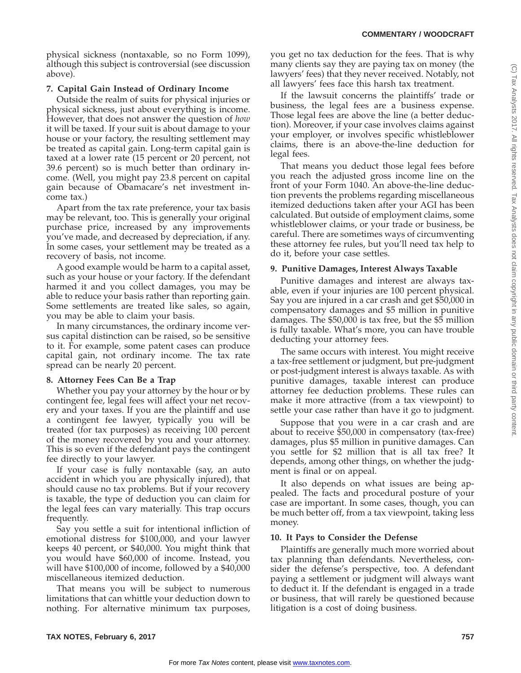physical sickness (nontaxable, so no Form 1099), although this subject is controversial (see discussion above).

# **7. Capital Gain Instead of Ordinary Income**

Outside the realm of suits for physical injuries or physical sickness, just about everything is income. However, that does not answer the question of *how* it will be taxed. If your suit is about damage to your house or your factory, the resulting settlement may be treated as capital gain. Long-term capital gain is taxed at a lower rate (15 percent or 20 percent, not 39.6 percent) so is much better than ordinary income. (Well, you might pay 23.8 percent on capital gain because of Obamacare's net investment income tax.)

Apart from the tax rate preference, your tax basis may be relevant, too. This is generally your original purchase price, increased by any improvements you've made, and decreased by depreciation, if any. In some cases, your settlement may be treated as a recovery of basis, not income.

A good example would be harm to a capital asset, such as your house or your factory. If the defendant harmed it and you collect damages, you may be able to reduce your basis rather than reporting gain. Some settlements are treated like sales, so again, you may be able to claim your basis.

In many circumstances, the ordinary income versus capital distinction can be raised, so be sensitive to it. For example, some patent cases can produce capital gain, not ordinary income. The tax rate spread can be nearly 20 percent.

# **8. Attorney Fees Can Be a Trap**

Whether you pay your attorney by the hour or by contingent fee, legal fees will affect your net recovery and your taxes. If you are the plaintiff and use a contingent fee lawyer, typically you will be treated (for tax purposes) as receiving 100 percent of the money recovered by you and your attorney. This is so even if the defendant pays the contingent fee directly to your lawyer.

If your case is fully nontaxable (say, an auto accident in which you are physically injured), that should cause no tax problems. But if your recovery is taxable, the type of deduction you can claim for the legal fees can vary materially. This trap occurs frequently.

Say you settle a suit for intentional infliction of emotional distress for \$100,000, and your lawyer keeps 40 percent, or \$40,000. You might think that you would have \$60,000 of income. Instead, you will have \$100,000 of income, followed by a \$40,000 miscellaneous itemized deduction.

That means you will be subject to numerous limitations that can whittle your deduction down to nothing. For alternative minimum tax purposes,

you get no tax deduction for the fees. That is why many clients say they are paying tax on money (the lawyers' fees) that they never received. Notably, not all lawyers' fees face this harsh tax treatment.

If the lawsuit concerns the plaintiffs' trade or business, the legal fees are a business expense. Those legal fees are above the line (a better deduction). Moreover, if your case involves claims against your employer, or involves specific whistleblower claims, there is an above-the-line deduction for legal fees.

That means you deduct those legal fees before you reach the adjusted gross income line on the front of your Form 1040. An above-the-line deduction prevents the problems regarding miscellaneous itemized deductions taken after your AGI has been calculated. But outside of employment claims, some whistleblower claims, or your trade or business, be careful. There are sometimes ways of circumventing these attorney fee rules, but you'll need tax help to do it, before your case settles.

# **9. Punitive Damages, Interest Always Taxable**

Punitive damages and interest are always taxable, even if your injuries are 100 percent physical. Say you are injured in a car crash and get \$50,000 in compensatory damages and \$5 million in punitive damages. The \$50,000 is tax free, but the \$5 million is fully taxable. What's more, you can have trouble deducting your attorney fees.

The same occurs with interest. You might receive a tax-free settlement or judgment, but pre-judgment or post-judgment interest is always taxable. As with punitive damages, taxable interest can produce attorney fee deduction problems. These rules can make it more attractive (from a tax viewpoint) to settle your case rather than have it go to judgment.

Suppose that you were in a car crash and are about to receive \$50,000 in compensatory (tax-free) damages, plus \$5 million in punitive damages. Can you settle for \$2 million that is all tax free? It depends, among other things, on whether the judgment is final or on appeal.

It also depends on what issues are being appealed. The facts and procedural posture of your case are important. In some cases, though, you can be much better off, from a tax viewpoint, taking less money.

# **10. It Pays to Consider the Defense**

Plaintiffs are generally much more worried about tax planning than defendants. Nevertheless, consider the defense's perspective, too. A defendant paying a settlement or judgment will always want to deduct it. If the defendant is engaged in a trade or business, that will rarely be questioned because litigation is a cost of doing business.